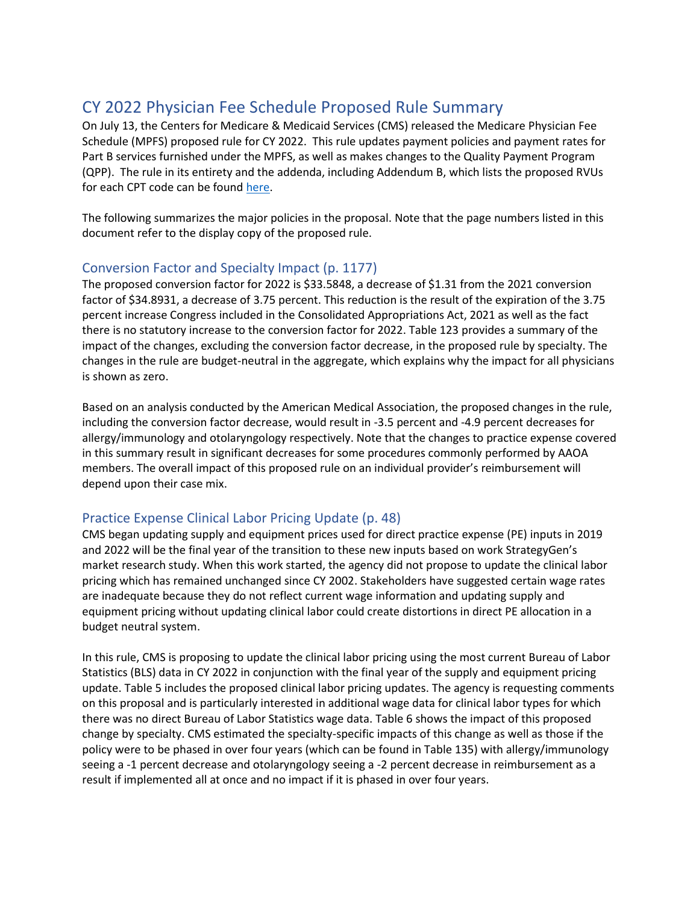# CY 2022 Physician Fee Schedule Proposed Rule Summary

On July 13, the Centers for Medicare & Medicaid Services (CMS) released the Medicare Physician Fee Schedule (MPFS) proposed rule for CY 2022. This rule updates payment policies and payment rates for Part B services furnished under the MPFS, as well as makes changes to the Quality Payment Program (QPP). The rule in its entirety and the addenda, including Addendum B, which lists the proposed RVUs for each CPT code can be foun[d here.](https://www.cms.gov/medicaremedicare-fee-service-paymentphysicianfeeschedpfs-federal-regulation-notices/cms-1751-p)

The following summarizes the major policies in the proposal. Note that the page numbers listed in this document refer to the display copy of the proposed rule.

## Conversion Factor and Specialty Impact (p. 1177)

The proposed conversion factor for 2022 is \$33.5848, a decrease of \$1.31 from the 2021 conversion factor of \$34.8931, a decrease of 3.75 percent. This reduction is the result of the expiration of the 3.75 percent increase Congress included in the Consolidated Appropriations Act, 2021 as well as the fact there is no statutory increase to the conversion factor for 2022. Table 123 provides a summary of the impact of the changes, excluding the conversion factor decrease, in the proposed rule by specialty. The changes in the rule are budget-neutral in the aggregate, which explains why the impact for all physicians is shown as zero.

Based on an analysis conducted by the American Medical Association, the proposed changes in the rule, including the conversion factor decrease, would result in -3.5 percent and -4.9 percent decreases for allergy/immunology and otolaryngology respectively. Note that the changes to practice expense covered in this summary result in significant decreases for some procedures commonly performed by AAOA members. The overall impact of this proposed rule on an individual provider's reimbursement will depend upon their case mix.

## Practice Expense Clinical Labor Pricing Update (p. 48)

CMS began updating supply and equipment prices used for direct practice expense (PE) inputs in 2019 and 2022 will be the final year of the transition to these new inputs based on work StrategyGen's market research study. When this work started, the agency did not propose to update the clinical labor pricing which has remained unchanged since CY 2002. Stakeholders have suggested certain wage rates are inadequate because they do not reflect current wage information and updating supply and equipment pricing without updating clinical labor could create distortions in direct PE allocation in a budget neutral system.

In this rule, CMS is proposing to update the clinical labor pricing using the most current Bureau of Labor Statistics (BLS) data in CY 2022 in conjunction with the final year of the supply and equipment pricing update. Table 5 includes the proposed clinical labor pricing updates. The agency is requesting comments on this proposal and is particularly interested in additional wage data for clinical labor types for which there was no direct Bureau of Labor Statistics wage data. Table 6 shows the impact of this proposed change by specialty. CMS estimated the specialty-specific impacts of this change as well as those if the policy were to be phased in over four years (which can be found in Table 135) with allergy/immunology seeing a -1 percent decrease and otolaryngology seeing a -2 percent decrease in reimbursement as a result if implemented all at once and no impact if it is phased in over four years.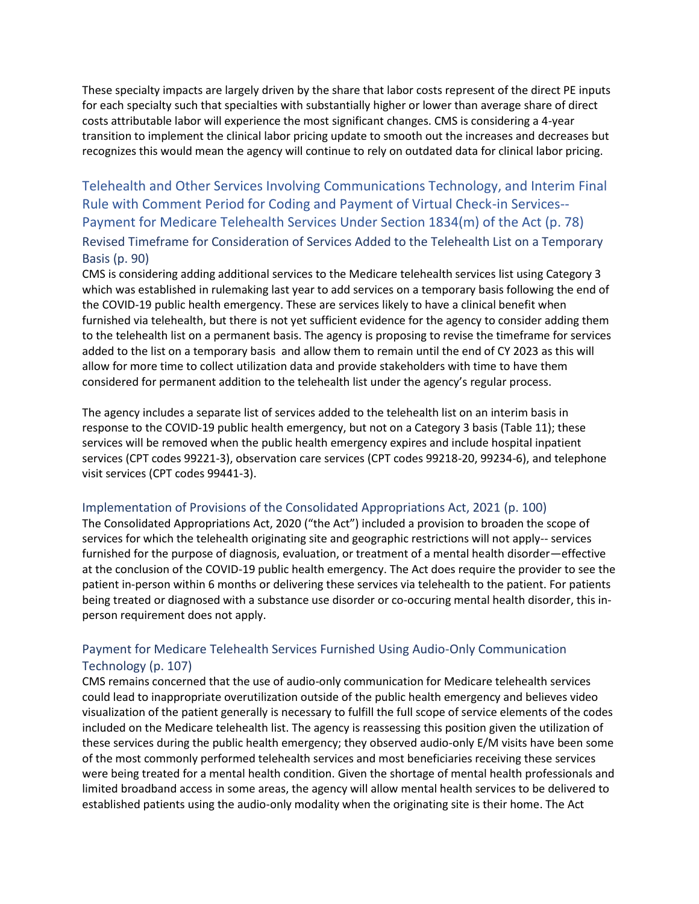These specialty impacts are largely driven by the share that labor costs represent of the direct PE inputs for each specialty such that specialties with substantially higher or lower than average share of direct costs attributable labor will experience the most significant changes. CMS is considering a 4-year transition to implement the clinical labor pricing update to smooth out the increases and decreases but recognizes this would mean the agency will continue to rely on outdated data for clinical labor pricing.

Telehealth and Other Services Involving Communications Technology, and Interim Final Rule with Comment Period for Coding and Payment of Virtual Check-in Services-- Payment for Medicare Telehealth Services Under Section 1834(m) of the Act (p. 78) Revised Timeframe for Consideration of Services Added to the Telehealth List on a Temporary Basis (p. 90)

CMS is considering adding additional services to the Medicare telehealth services list using Category 3 which was established in rulemaking last year to add services on a temporary basis following the end of the COVID-19 public health emergency. These are services likely to have a clinical benefit when furnished via telehealth, but there is not yet sufficient evidence for the agency to consider adding them to the telehealth list on a permanent basis. The agency is proposing to revise the timeframe for services added to the list on a temporary basis and allow them to remain until the end of CY 2023 as this will allow for more time to collect utilization data and provide stakeholders with time to have them considered for permanent addition to the telehealth list under the agency's regular process.

The agency includes a separate list of services added to the telehealth list on an interim basis in response to the COVID-19 public health emergency, but not on a Category 3 basis (Table 11); these services will be removed when the public health emergency expires and include hospital inpatient services (CPT codes 99221-3), observation care services (CPT codes 99218-20, 99234-6), and telephone visit services (CPT codes 99441-3).

#### Implementation of Provisions of the Consolidated Appropriations Act, 2021 (p. 100)

The Consolidated Appropriations Act, 2020 ("the Act") included a provision to broaden the scope of services for which the telehealth originating site and geographic restrictions will not apply-- services furnished for the purpose of diagnosis, evaluation, or treatment of a mental health disorder—effective at the conclusion of the COVID-19 public health emergency. The Act does require the provider to see the patient in-person within 6 months or delivering these services via telehealth to the patient. For patients being treated or diagnosed with a substance use disorder or co-occuring mental health disorder, this inperson requirement does not apply.

## Payment for Medicare Telehealth Services Furnished Using Audio-Only Communication Technology (p. 107)

CMS remains concerned that the use of audio-only communication for Medicare telehealth services could lead to inappropriate overutilization outside of the public health emergency and believes video visualization of the patient generally is necessary to fulfill the full scope of service elements of the codes included on the Medicare telehealth list. The agency is reassessing this position given the utilization of these services during the public health emergency; they observed audio-only E/M visits have been some of the most commonly performed telehealth services and most beneficiaries receiving these services were being treated for a mental health condition. Given the shortage of mental health professionals and limited broadband access in some areas, the agency will allow mental health services to be delivered to established patients using the audio-only modality when the originating site is their home. The Act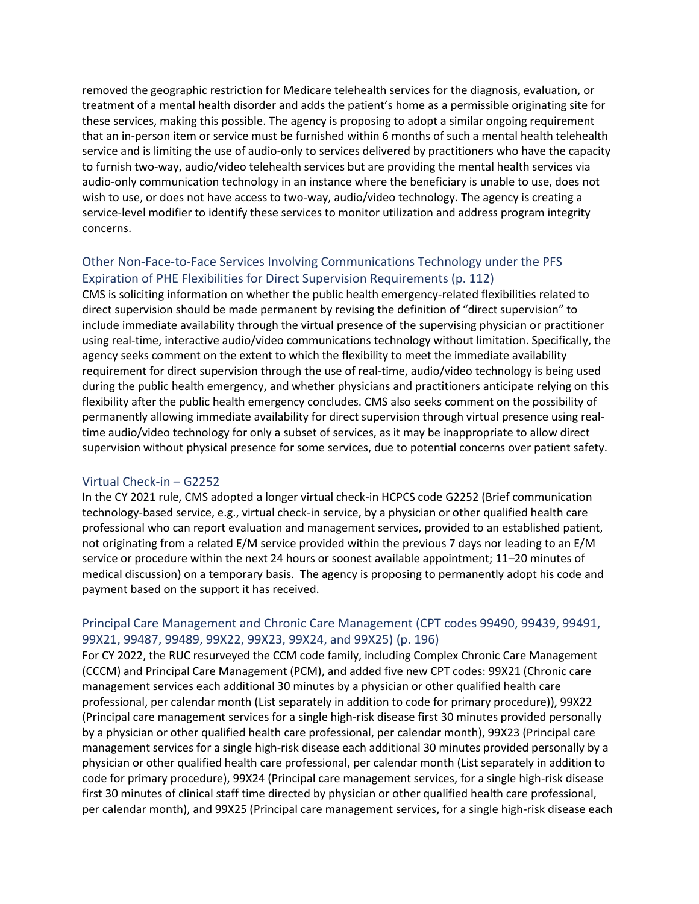removed the geographic restriction for Medicare telehealth services for the diagnosis, evaluation, or treatment of a mental health disorder and adds the patient's home as a permissible originating site for these services, making this possible. The agency is proposing to adopt a similar ongoing requirement that an in-person item or service must be furnished within 6 months of such a mental health telehealth service and is limiting the use of audio-only to services delivered by practitioners who have the capacity to furnish two-way, audio/video telehealth services but are providing the mental health services via audio-only communication technology in an instance where the beneficiary is unable to use, does not wish to use, or does not have access to two-way, audio/video technology. The agency is creating a service-level modifier to identify these services to monitor utilization and address program integrity concerns.

#### Other Non-Face-to-Face Services Involving Communications Technology under the PFS Expiration of PHE Flexibilities for Direct Supervision Requirements (p. 112)

CMS is soliciting information on whether the public health emergency-related flexibilities related to direct supervision should be made permanent by revising the definition of "direct supervision" to include immediate availability through the virtual presence of the supervising physician or practitioner using real-time, interactive audio/video communications technology without limitation. Specifically, the agency seeks comment on the extent to which the flexibility to meet the immediate availability requirement for direct supervision through the use of real-time, audio/video technology is being used during the public health emergency, and whether physicians and practitioners anticipate relying on this flexibility after the public health emergency concludes. CMS also seeks comment on the possibility of permanently allowing immediate availability for direct supervision through virtual presence using realtime audio/video technology for only a subset of services, as it may be inappropriate to allow direct supervision without physical presence for some services, due to potential concerns over patient safety.

#### Virtual Check-in – G2252

In the CY 2021 rule, CMS adopted a longer virtual check-in HCPCS code G2252 (Brief communication technology-based service, e.g., virtual check-in service, by a physician or other qualified health care professional who can report evaluation and management services, provided to an established patient, not originating from a related E/M service provided within the previous 7 days nor leading to an E/M service or procedure within the next 24 hours or soonest available appointment; 11–20 minutes of medical discussion) on a temporary basis. The agency is proposing to permanently adopt his code and payment based on the support it has received.

#### Principal Care Management and Chronic Care Management (CPT codes 99490, 99439, 99491, 99X21, 99487, 99489, 99X22, 99X23, 99X24, and 99X25) (p. 196)

For CY 2022, the RUC resurveyed the CCM code family, including Complex Chronic Care Management (CCCM) and Principal Care Management (PCM), and added five new CPT codes: 99X21 (Chronic care management services each additional 30 minutes by a physician or other qualified health care professional, per calendar month (List separately in addition to code for primary procedure)), 99X22 (Principal care management services for a single high-risk disease first 30 minutes provided personally by a physician or other qualified health care professional, per calendar month), 99X23 (Principal care management services for a single high-risk disease each additional 30 minutes provided personally by a physician or other qualified health care professional, per calendar month (List separately in addition to code for primary procedure), 99X24 (Principal care management services, for a single high-risk disease first 30 minutes of clinical staff time directed by physician or other qualified health care professional, per calendar month), and 99X25 (Principal care management services, for a single high-risk disease each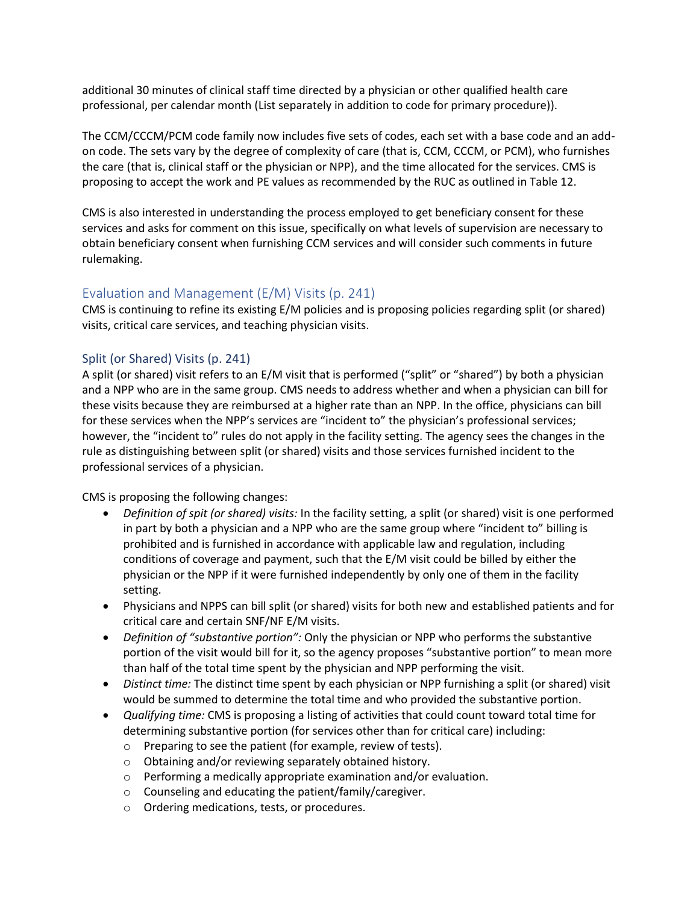additional 30 minutes of clinical staff time directed by a physician or other qualified health care professional, per calendar month (List separately in addition to code for primary procedure)).

The CCM/CCCM/PCM code family now includes five sets of codes, each set with a base code and an addon code. The sets vary by the degree of complexity of care (that is, CCM, CCCM, or PCM), who furnishes the care (that is, clinical staff or the physician or NPP), and the time allocated for the services. CMS is proposing to accept the work and PE values as recommended by the RUC as outlined in Table 12.

CMS is also interested in understanding the process employed to get beneficiary consent for these services and asks for comment on this issue, specifically on what levels of supervision are necessary to obtain beneficiary consent when furnishing CCM services and will consider such comments in future rulemaking.

#### Evaluation and Management (E/M) Visits (p. 241)

CMS is continuing to refine its existing E/M policies and is proposing policies regarding split (or shared) visits, critical care services, and teaching physician visits.

#### Split (or Shared) Visits (p. 241)

A split (or shared) visit refers to an E/M visit that is performed ("split" or "shared") by both a physician and a NPP who are in the same group. CMS needs to address whether and when a physician can bill for these visits because they are reimbursed at a higher rate than an NPP. In the office, physicians can bill for these services when the NPP's services are "incident to" the physician's professional services; however, the "incident to" rules do not apply in the facility setting. The agency sees the changes in the rule as distinguishing between split (or shared) visits and those services furnished incident to the professional services of a physician.

CMS is proposing the following changes:

- *Definition of spit (or shared) visits:* In the facility setting, a split (or shared) visit is one performed in part by both a physician and a NPP who are the same group where "incident to" billing is prohibited and is furnished in accordance with applicable law and regulation, including conditions of coverage and payment, such that the E/M visit could be billed by either the physician or the NPP if it were furnished independently by only one of them in the facility setting.
- Physicians and NPPS can bill split (or shared) visits for both new and established patients and for critical care and certain SNF/NF E/M visits.
- *Definition of "substantive portion":* Only the physician or NPP who performs the substantive portion of the visit would bill for it, so the agency proposes "substantive portion" to mean more than half of the total time spent by the physician and NPP performing the visit.
- *Distinct time:* The distinct time spent by each physician or NPP furnishing a split (or shared) visit would be summed to determine the total time and who provided the substantive portion.
- *Qualifying time:* CMS is proposing a listing of activities that could count toward total time for determining substantive portion (for services other than for critical care) including:
	- o Preparing to see the patient (for example, review of tests).
	- o Obtaining and/or reviewing separately obtained history.
	- o Performing a medically appropriate examination and/or evaluation.
	- o Counseling and educating the patient/family/caregiver.
	- o Ordering medications, tests, or procedures.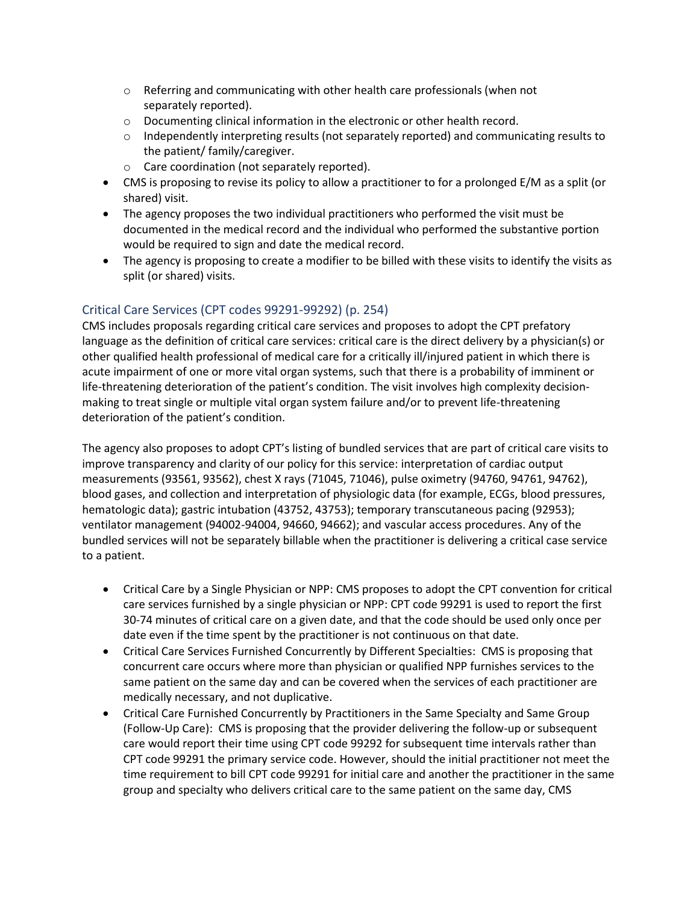- $\circ$  Referring and communicating with other health care professionals (when not separately reported).
- o Documenting clinical information in the electronic or other health record.
- $\circ$  Independently interpreting results (not separately reported) and communicating results to the patient/ family/caregiver.
- o Care coordination (not separately reported).
- CMS is proposing to revise its policy to allow a practitioner to for a prolonged E/M as a split (or shared) visit.
- The agency proposes the two individual practitioners who performed the visit must be documented in the medical record and the individual who performed the substantive portion would be required to sign and date the medical record.
- The agency is proposing to create a modifier to be billed with these visits to identify the visits as split (or shared) visits.

#### Critical Care Services (CPT codes 99291-99292) (p. 254)

CMS includes proposals regarding critical care services and proposes to adopt the CPT prefatory language as the definition of critical care services: critical care is the direct delivery by a physician(s) or other qualified health professional of medical care for a critically ill/injured patient in which there is acute impairment of one or more vital organ systems, such that there is a probability of imminent or life-threatening deterioration of the patient's condition. The visit involves high complexity decisionmaking to treat single or multiple vital organ system failure and/or to prevent life-threatening deterioration of the patient's condition.

The agency also proposes to adopt CPT's listing of bundled services that are part of critical care visits to improve transparency and clarity of our policy for this service: interpretation of cardiac output measurements (93561, 93562), chest X rays (71045, 71046), pulse oximetry (94760, 94761, 94762), blood gases, and collection and interpretation of physiologic data (for example, ECGs, blood pressures, hematologic data); gastric intubation (43752, 43753); temporary transcutaneous pacing (92953); ventilator management (94002-94004, 94660, 94662); and vascular access procedures. Any of the bundled services will not be separately billable when the practitioner is delivering a critical case service to a patient.

- Critical Care by a Single Physician or NPP: CMS proposes to adopt the CPT convention for critical care services furnished by a single physician or NPP: CPT code 99291 is used to report the first 30-74 minutes of critical care on a given date, and that the code should be used only once per date even if the time spent by the practitioner is not continuous on that date.
- Critical Care Services Furnished Concurrently by Different Specialties: CMS is proposing that concurrent care occurs where more than physician or qualified NPP furnishes services to the same patient on the same day and can be covered when the services of each practitioner are medically necessary, and not duplicative.
- Critical Care Furnished Concurrently by Practitioners in the Same Specialty and Same Group (Follow-Up Care): CMS is proposing that the provider delivering the follow-up or subsequent care would report their time using CPT code 99292 for subsequent time intervals rather than CPT code 99291 the primary service code. However, should the initial practitioner not meet the time requirement to bill CPT code 99291 for initial care and another the practitioner in the same group and specialty who delivers critical care to the same patient on the same day, CMS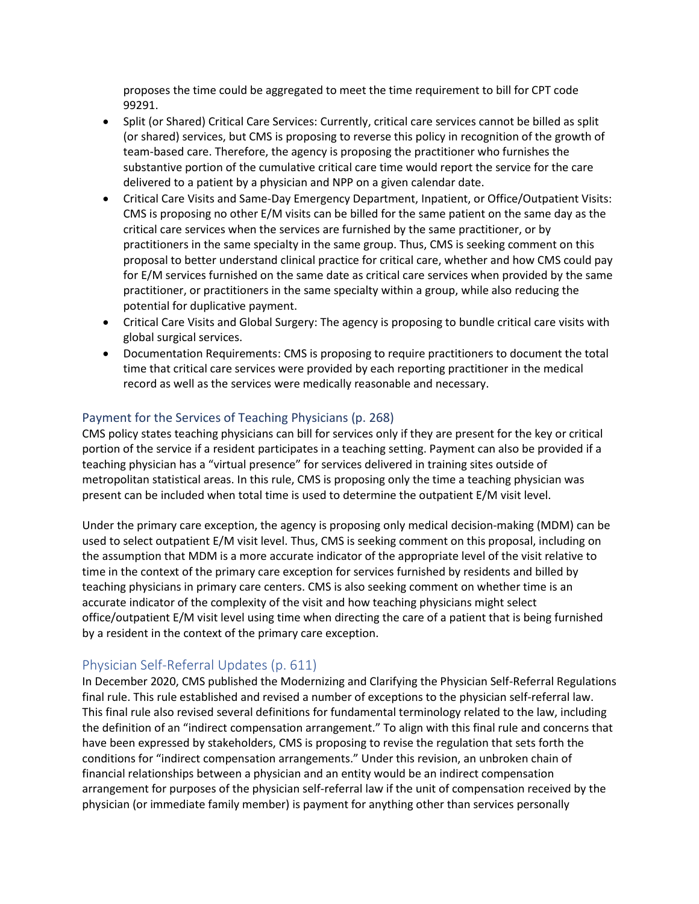proposes the time could be aggregated to meet the time requirement to bill for CPT code 99291.

- Split (or Shared) Critical Care Services: Currently, critical care services cannot be billed as split (or shared) services, but CMS is proposing to reverse this policy in recognition of the growth of team-based care. Therefore, the agency is proposing the practitioner who furnishes the substantive portion of the cumulative critical care time would report the service for the care delivered to a patient by a physician and NPP on a given calendar date.
- Critical Care Visits and Same-Day Emergency Department, Inpatient, or Office/Outpatient Visits: CMS is proposing no other E/M visits can be billed for the same patient on the same day as the critical care services when the services are furnished by the same practitioner, or by practitioners in the same specialty in the same group. Thus, CMS is seeking comment on this proposal to better understand clinical practice for critical care, whether and how CMS could pay for E/M services furnished on the same date as critical care services when provided by the same practitioner, or practitioners in the same specialty within a group, while also reducing the potential for duplicative payment.
- Critical Care Visits and Global Surgery: The agency is proposing to bundle critical care visits with global surgical services.
- Documentation Requirements: CMS is proposing to require practitioners to document the total time that critical care services were provided by each reporting practitioner in the medical record as well as the services were medically reasonable and necessary.

#### Payment for the Services of Teaching Physicians (p. 268)

CMS policy states teaching physicians can bill for services only if they are present for the key or critical portion of the service if a resident participates in a teaching setting. Payment can also be provided if a teaching physician has a "virtual presence" for services delivered in training sites outside of metropolitan statistical areas. In this rule, CMS is proposing only the time a teaching physician was present can be included when total time is used to determine the outpatient E/M visit level.

Under the primary care exception, the agency is proposing only medical decision-making (MDM) can be used to select outpatient E/M visit level. Thus, CMS is seeking comment on this proposal, including on the assumption that MDM is a more accurate indicator of the appropriate level of the visit relative to time in the context of the primary care exception for services furnished by residents and billed by teaching physicians in primary care centers. CMS is also seeking comment on whether time is an accurate indicator of the complexity of the visit and how teaching physicians might select office/outpatient E/M visit level using time when directing the care of a patient that is being furnished by a resident in the context of the primary care exception.

## Physician Self-Referral Updates (p. 611)

In December 2020, CMS published the Modernizing and Clarifying the Physician Self-Referral Regulations final rule. This rule established and revised a number of exceptions to the physician self-referral law. This final rule also revised several definitions for fundamental terminology related to the law, including the definition of an "indirect compensation arrangement." To align with this final rule and concerns that have been expressed by stakeholders, CMS is proposing to revise the regulation that sets forth the conditions for "indirect compensation arrangements." Under this revision, an unbroken chain of financial relationships between a physician and an entity would be an indirect compensation arrangement for purposes of the physician self-referral law if the unit of compensation received by the physician (or immediate family member) is payment for anything other than services personally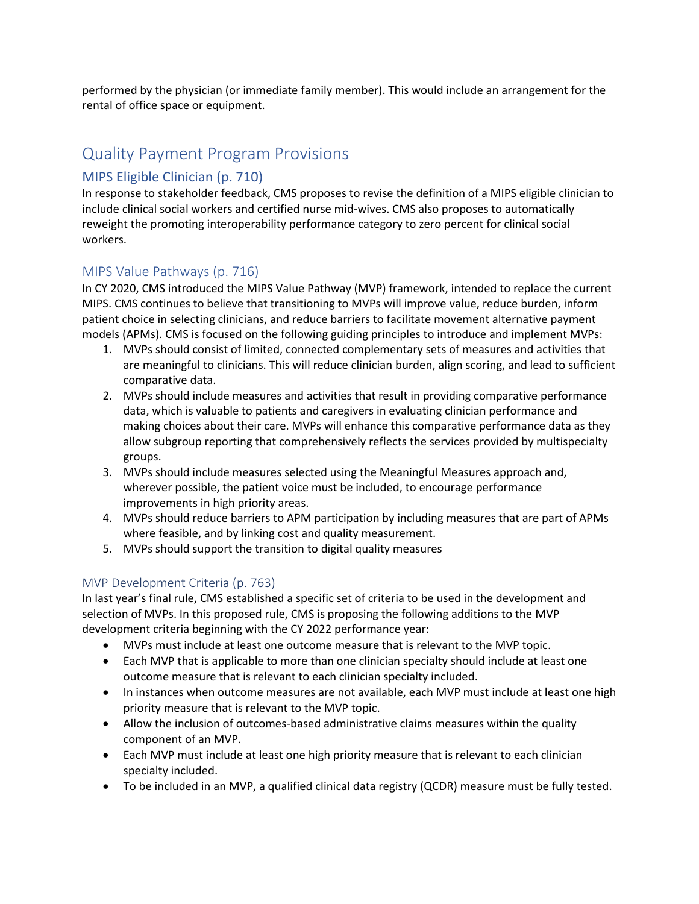performed by the physician (or immediate family member). This would include an arrangement for the rental of office space or equipment.

# Quality Payment Program Provisions

# MIPS Eligible Clinician (p. 710)

In response to stakeholder feedback, CMS proposes to revise the definition of a MIPS eligible clinician to include clinical social workers and certified nurse mid-wives. CMS also proposes to automatically reweight the promoting interoperability performance category to zero percent for clinical social workers.

# MIPS Value Pathways (p. 716)

In CY 2020, CMS introduced the MIPS Value Pathway (MVP) framework, intended to replace the current MIPS. CMS continues to believe that transitioning to MVPs will improve value, reduce burden, inform patient choice in selecting clinicians, and reduce barriers to facilitate movement alternative payment models (APMs). CMS is focused on the following guiding principles to introduce and implement MVPs:

- 1. MVPs should consist of limited, connected complementary sets of measures and activities that are meaningful to clinicians. This will reduce clinician burden, align scoring, and lead to sufficient comparative data.
- 2. MVPs should include measures and activities that result in providing comparative performance data, which is valuable to patients and caregivers in evaluating clinician performance and making choices about their care. MVPs will enhance this comparative performance data as they allow subgroup reporting that comprehensively reflects the services provided by multispecialty groups.
- 3. MVPs should include measures selected using the Meaningful Measures approach and, wherever possible, the patient voice must be included, to encourage performance improvements in high priority areas.
- 4. MVPs should reduce barriers to APM participation by including measures that are part of APMs where feasible, and by linking cost and quality measurement.
- 5. MVPs should support the transition to digital quality measures

## MVP Development Criteria (p. 763)

In last year's final rule, CMS established a specific set of criteria to be used in the development and selection of MVPs. In this proposed rule, CMS is proposing the following additions to the MVP development criteria beginning with the CY 2022 performance year:

- MVPs must include at least one outcome measure that is relevant to the MVP topic.
- Each MVP that is applicable to more than one clinician specialty should include at least one outcome measure that is relevant to each clinician specialty included.
- In instances when outcome measures are not available, each MVP must include at least one high priority measure that is relevant to the MVP topic.
- Allow the inclusion of outcomes-based administrative claims measures within the quality component of an MVP.
- Each MVP must include at least one high priority measure that is relevant to each clinician specialty included.
- To be included in an MVP, a qualified clinical data registry (QCDR) measure must be fully tested.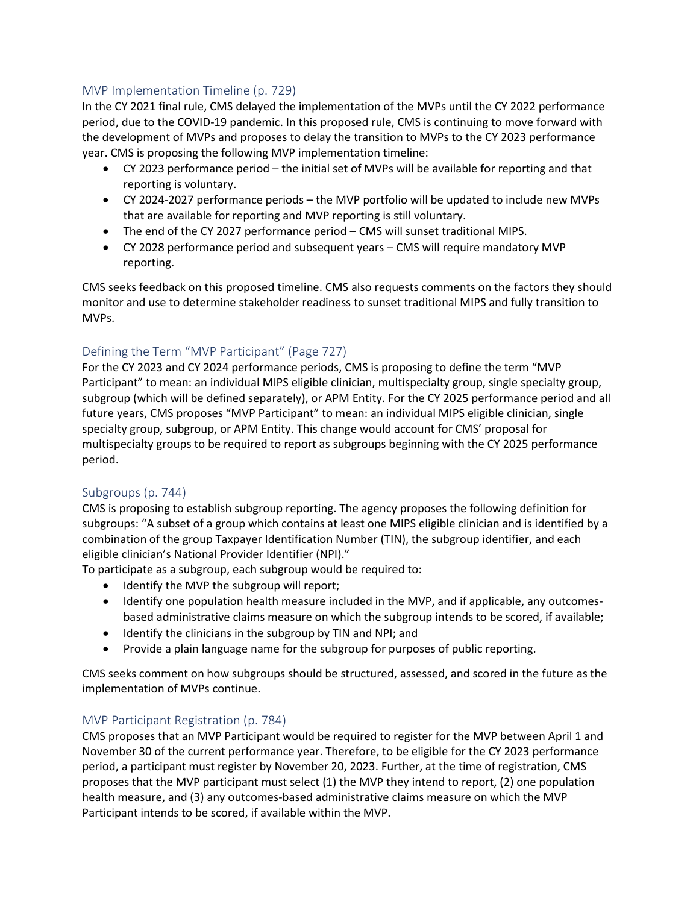#### MVP Implementation Timeline (p. 729)

In the CY 2021 final rule, CMS delayed the implementation of the MVPs until the CY 2022 performance period, due to the COVID-19 pandemic. In this proposed rule, CMS is continuing to move forward with the development of MVPs and proposes to delay the transition to MVPs to the CY 2023 performance year. CMS is proposing the following MVP implementation timeline:

- CY 2023 performance period the initial set of MVPs will be available for reporting and that reporting is voluntary.
- CY 2024-2027 performance periods the MVP portfolio will be updated to include new MVPs that are available for reporting and MVP reporting is still voluntary.
- The end of the CY 2027 performance period CMS will sunset traditional MIPS.
- CY 2028 performance period and subsequent years CMS will require mandatory MVP reporting.

CMS seeks feedback on this proposed timeline. CMS also requests comments on the factors they should monitor and use to determine stakeholder readiness to sunset traditional MIPS and fully transition to MVPs.

# Defining the Term "MVP Participant" (Page 727)

For the CY 2023 and CY 2024 performance periods, CMS is proposing to define the term "MVP Participant" to mean: an individual MIPS eligible clinician, multispecialty group, single specialty group, subgroup (which will be defined separately), or APM Entity. For the CY 2025 performance period and all future years, CMS proposes "MVP Participant" to mean: an individual MIPS eligible clinician, single specialty group, subgroup, or APM Entity. This change would account for CMS' proposal for multispecialty groups to be required to report as subgroups beginning with the CY 2025 performance period.

## Subgroups (p. 744)

CMS is proposing to establish subgroup reporting. The agency proposes the following definition for subgroups: "A subset of a group which contains at least one MIPS eligible clinician and is identified by a combination of the group Taxpayer Identification Number (TIN), the subgroup identifier, and each eligible clinician's National Provider Identifier (NPI)."

To participate as a subgroup, each subgroup would be required to:

- Identify the MVP the subgroup will report;
- Identify one population health measure included in the MVP, and if applicable, any outcomesbased administrative claims measure on which the subgroup intends to be scored, if available;
- Identify the clinicians in the subgroup by TIN and NPI; and
- Provide a plain language name for the subgroup for purposes of public reporting.

CMS seeks comment on how subgroups should be structured, assessed, and scored in the future as the implementation of MVPs continue.

#### MVP Participant Registration (p. 784)

CMS proposes that an MVP Participant would be required to register for the MVP between April 1 and November 30 of the current performance year. Therefore, to be eligible for the CY 2023 performance period, a participant must register by November 20, 2023. Further, at the time of registration, CMS proposes that the MVP participant must select (1) the MVP they intend to report, (2) one population health measure, and (3) any outcomes-based administrative claims measure on which the MVP Participant intends to be scored, if available within the MVP.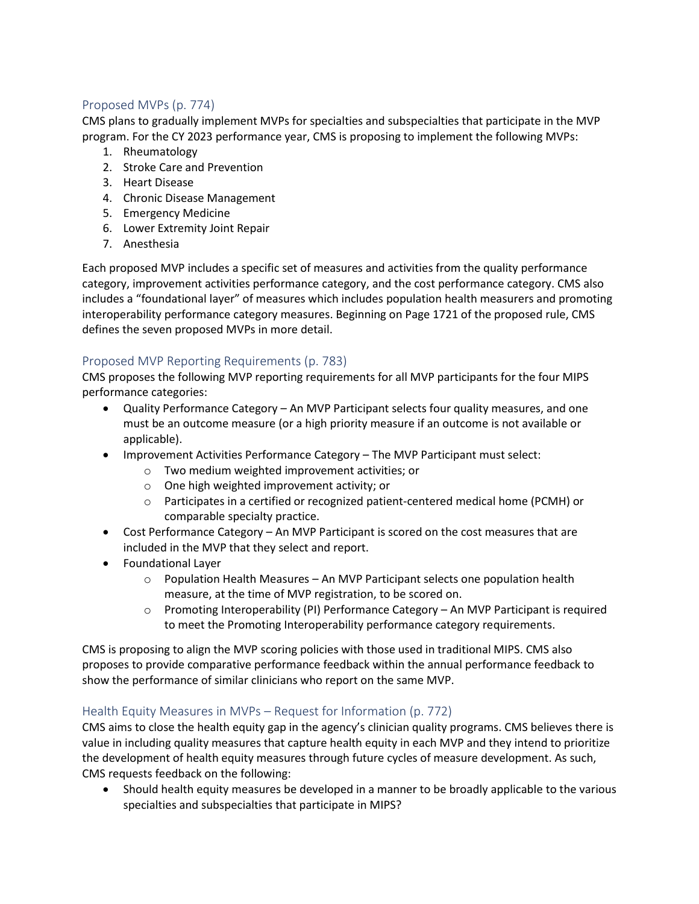#### Proposed MVPs (p. 774)

CMS plans to gradually implement MVPs for specialties and subspecialties that participate in the MVP program. For the CY 2023 performance year, CMS is proposing to implement the following MVPs:

- 1. Rheumatology
- 2. Stroke Care and Prevention
- 3. Heart Disease
- 4. Chronic Disease Management
- 5. Emergency Medicine
- 6. Lower Extremity Joint Repair
- 7. Anesthesia

Each proposed MVP includes a specific set of measures and activities from the quality performance category, improvement activities performance category, and the cost performance category. CMS also includes a "foundational layer" of measures which includes population health measurers and promoting interoperability performance category measures. Beginning on Page 1721 of the proposed rule, CMS defines the seven proposed MVPs in more detail.

## Proposed MVP Reporting Requirements (p. 783)

CMS proposes the following MVP reporting requirements for all MVP participants for the four MIPS performance categories:

- Quality Performance Category An MVP Participant selects four quality measures, and one must be an outcome measure (or a high priority measure if an outcome is not available or applicable).
- Improvement Activities Performance Category The MVP Participant must select:
	- o Two medium weighted improvement activities; or
	- o One high weighted improvement activity; or
	- o Participates in a certified or recognized patient-centered medical home (PCMH) or comparable specialty practice.
- Cost Performance Category An MVP Participant is scored on the cost measures that are included in the MVP that they select and report.
- Foundational Layer
	- $\circ$  Population Health Measures An MVP Participant selects one population health measure, at the time of MVP registration, to be scored on.
	- $\circ$  Promoting Interoperability (PI) Performance Category An MVP Participant is required to meet the Promoting Interoperability performance category requirements.

CMS is proposing to align the MVP scoring policies with those used in traditional MIPS. CMS also proposes to provide comparative performance feedback within the annual performance feedback to show the performance of similar clinicians who report on the same MVP.

## Health Equity Measures in MVPs – Request for Information (p. 772)

CMS aims to close the health equity gap in the agency's clinician quality programs. CMS believes there is value in including quality measures that capture health equity in each MVP and they intend to prioritize the development of health equity measures through future cycles of measure development. As such, CMS requests feedback on the following:

• Should health equity measures be developed in a manner to be broadly applicable to the various specialties and subspecialties that participate in MIPS?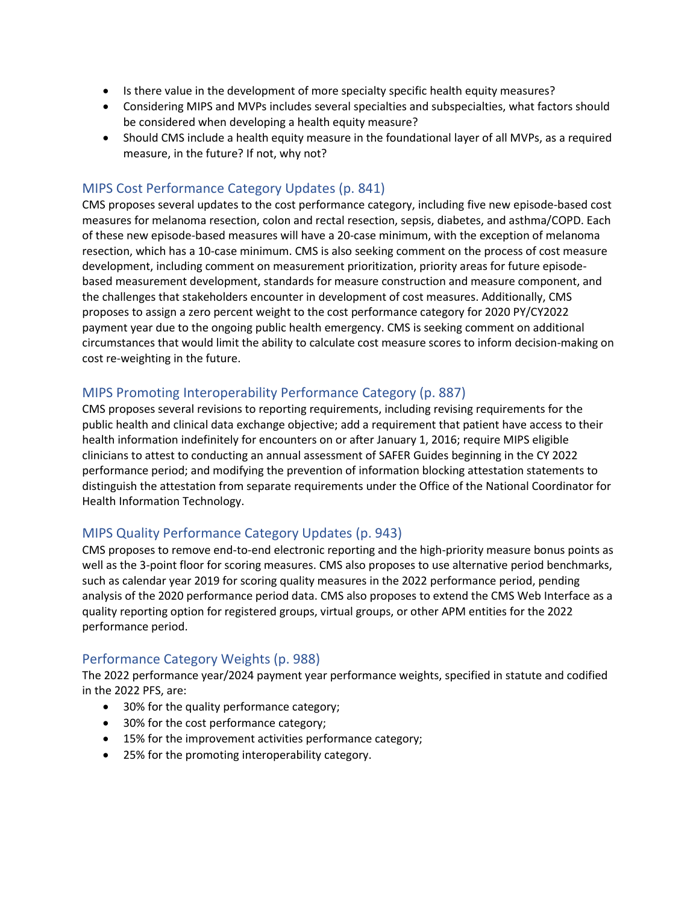- Is there value in the development of more specialty specific health equity measures?
- Considering MIPS and MVPs includes several specialties and subspecialties, what factors should be considered when developing a health equity measure?
- Should CMS include a health equity measure in the foundational layer of all MVPs, as a required measure, in the future? If not, why not?

## MIPS Cost Performance Category Updates (p. 841)

CMS proposes several updates to the cost performance category, including five new episode-based cost measures for melanoma resection, colon and rectal resection, sepsis, diabetes, and asthma/COPD. Each of these new episode-based measures will have a 20-case minimum, with the exception of melanoma resection, which has a 10-case minimum. CMS is also seeking comment on the process of cost measure development, including comment on measurement prioritization, priority areas for future episodebased measurement development, standards for measure construction and measure component, and the challenges that stakeholders encounter in development of cost measures. Additionally, CMS proposes to assign a zero percent weight to the cost performance category for 2020 PY/CY2022 payment year due to the ongoing public health emergency. CMS is seeking comment on additional circumstances that would limit the ability to calculate cost measure scores to inform decision-making on cost re-weighting in the future.

# MIPS Promoting Interoperability Performance Category (p. 887)

CMS proposes several revisions to reporting requirements, including revising requirements for the public health and clinical data exchange objective; add a requirement that patient have access to their health information indefinitely for encounters on or after January 1, 2016; require MIPS eligible clinicians to attest to conducting an annual assessment of SAFER Guides beginning in the CY 2022 performance period; and modifying the prevention of information blocking attestation statements to distinguish the attestation from separate requirements under the Office of the National Coordinator for Health Information Technology.

## MIPS Quality Performance Category Updates (p. 943)

CMS proposes to remove end-to-end electronic reporting and the high-priority measure bonus points as well as the 3-point floor for scoring measures. CMS also proposes to use alternative period benchmarks, such as calendar year 2019 for scoring quality measures in the 2022 performance period, pending analysis of the 2020 performance period data. CMS also proposes to extend the CMS Web Interface as a quality reporting option for registered groups, virtual groups, or other APM entities for the 2022 performance period.

## Performance Category Weights (p. 988)

The 2022 performance year/2024 payment year performance weights, specified in statute and codified in the 2022 PFS, are:

- 30% for the quality performance category;
- 30% for the cost performance category;
- 15% for the improvement activities performance category;
- 25% for the promoting interoperability category.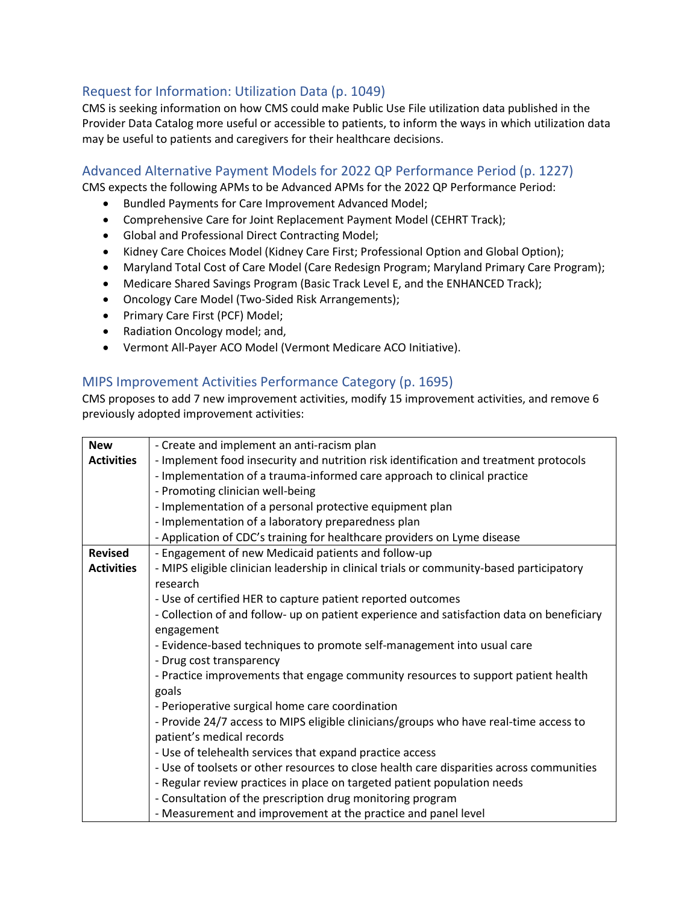# Request for Information: Utilization Data (p. 1049)

CMS is seeking information on how CMS could make Public Use File utilization data published in the Provider Data Catalog more useful or accessible to patients, to inform the ways in which utilization data may be useful to patients and caregivers for their healthcare decisions.

#### Advanced Alternative Payment Models for 2022 QP Performance Period (p. 1227)

CMS expects the following APMs to be Advanced APMs for the 2022 QP Performance Period:

- Bundled Payments for Care Improvement Advanced Model;
- Comprehensive Care for Joint Replacement Payment Model (CEHRT Track);
- Global and Professional Direct Contracting Model;
- Kidney Care Choices Model (Kidney Care First; Professional Option and Global Option);
- Maryland Total Cost of Care Model (Care Redesign Program; Maryland Primary Care Program);
- Medicare Shared Savings Program (Basic Track Level E, and the ENHANCED Track);
- Oncology Care Model (Two-Sided Risk Arrangements);
- Primary Care First (PCF) Model;
- Radiation Oncology model; and,
- Vermont All-Payer ACO Model (Vermont Medicare ACO Initiative).

#### MIPS Improvement Activities Performance Category (p. 1695)

CMS proposes to add 7 new improvement activities, modify 15 improvement activities, and remove 6 previously adopted improvement activities:

| <b>New</b>        | - Create and implement an anti-racism plan                                                |
|-------------------|-------------------------------------------------------------------------------------------|
| <b>Activities</b> | - Implement food insecurity and nutrition risk identification and treatment protocols     |
|                   | - Implementation of a trauma-informed care approach to clinical practice                  |
|                   | - Promoting clinician well-being                                                          |
|                   | - Implementation of a personal protective equipment plan                                  |
|                   | - Implementation of a laboratory preparedness plan                                        |
|                   | - Application of CDC's training for healthcare providers on Lyme disease                  |
| <b>Revised</b>    | - Engagement of new Medicaid patients and follow-up                                       |
| <b>Activities</b> | - MIPS eligible clinician leadership in clinical trials or community-based participatory  |
|                   | research                                                                                  |
|                   | - Use of certified HER to capture patient reported outcomes                               |
|                   | - Collection of and follow- up on patient experience and satisfaction data on beneficiary |
|                   | engagement                                                                                |
|                   | - Evidence-based techniques to promote self-management into usual care                    |
|                   | - Drug cost transparency                                                                  |
|                   | - Practice improvements that engage community resources to support patient health         |
|                   | goals                                                                                     |
|                   | - Perioperative surgical home care coordination                                           |
|                   | - Provide 24/7 access to MIPS eligible clinicians/groups who have real-time access to     |
|                   | patient's medical records                                                                 |
|                   | - Use of telehealth services that expand practice access                                  |
|                   | - Use of toolsets or other resources to close health care disparities across communities  |
|                   | - Regular review practices in place on targeted patient population needs                  |
|                   | - Consultation of the prescription drug monitoring program                                |
|                   | - Measurement and improvement at the practice and panel level                             |